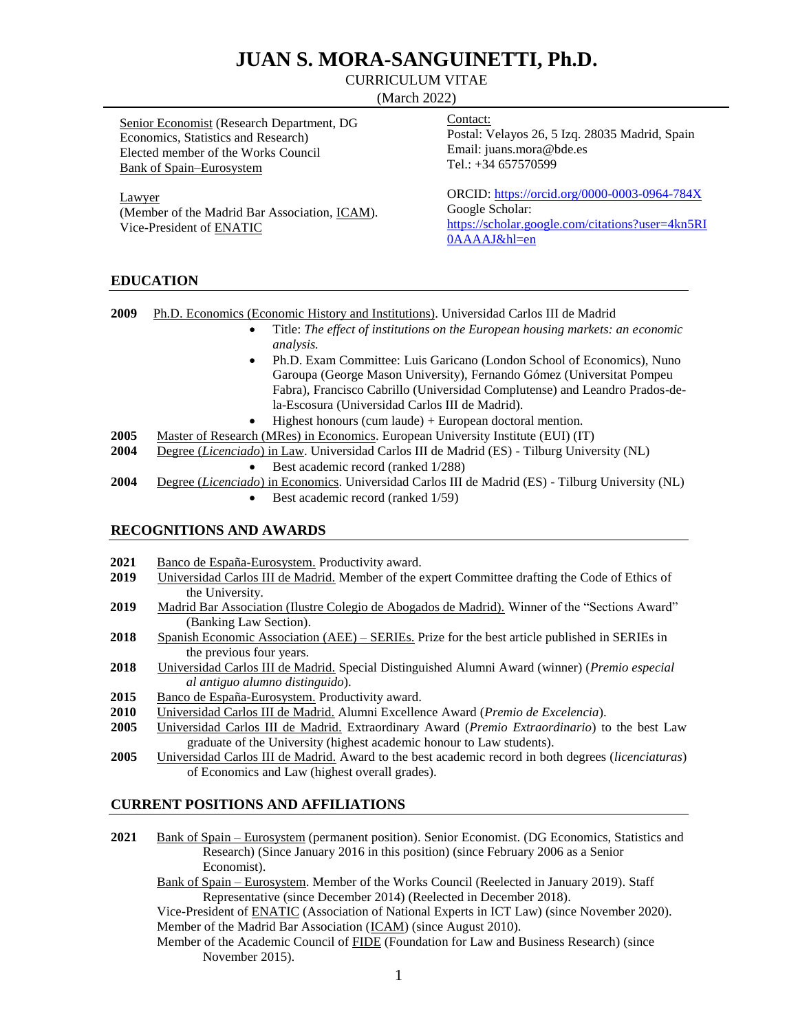# **JUAN S. MORA-SANGUINETTI, Ph.D.**

# CURRICULUM VITAE

(March 2022)

| <b>Senior Economist (Research Department, DG</b><br>Economics, Statistics and Research)<br>Elected member of the Works Council<br><b>Bank of Spain–Eurosystem</b> | Contact:<br>Postal: Velayos 26, 5 Izq. 28035 Madrid, Spain<br>Email: juans.mora@bde.es<br>Tel.: $+34$ 657570599                     |
|-------------------------------------------------------------------------------------------------------------------------------------------------------------------|-------------------------------------------------------------------------------------------------------------------------------------|
| Lawyer<br>(Member of the Madrid Bar Association, ICAM).<br>Vice-President of ENATIC                                                                               | ORCID: https://orcid.org/0000-0003-0964-784X<br>Google Scholar:<br>https://scholar.google.com/citations?user=4kn5RI<br>0AAAAJ&hl=en |
| <b>INTIQ LITTANT</b>                                                                                                                                              |                                                                                                                                     |

# **EDUCATION**

**2009** Ph.D. Economics (Economic History and Institutions). Universidad Carlos III de Madrid

- Title: *The effect of institutions on the European housing markets: an economic analysis.*
- Ph.D. Exam Committee: Luis Garicano (London School of Economics), Nuno Garoupa (George Mason University), Fernando Gómez (Universitat Pompeu Fabra), Francisco Cabrillo (Universidad Complutense) and Leandro Prados-dela-Escosura (Universidad Carlos III de Madrid).
- Highest honours (cum laude) + European doctoral mention.
- **2005** Master of Research (MRes) in Economics. European University Institute (EUI) (IT)
- **2004** Degree (*Licenciado*) in Law. Universidad Carlos III de Madrid (ES) Tilburg University (NL)
	- Best academic record (ranked 1/288)
- **2004** Degree (*Licenciado*) in Economics. Universidad Carlos III de Madrid (ES) Tilburg University (NL)
	- $\bullet$  Best academic record (ranked 1/59)

# **RECOGNITIONS AND AWARDS**

- **2021** Banco de España-Eurosystem. Productivity award.
- **2019** Universidad Carlos III de Madrid. Member of the expert Committee drafting the Code of Ethics of the University.
- **2019** Madrid Bar Association (Ilustre Colegio de Abogados de Madrid). Winner of the "Sections Award" (Banking Law Section).
- **2018** Spanish Economic Association (AEE) SERIEs. Prize for the best article published in SERIEs in the previous four years.
- **2018** Universidad Carlos III de Madrid. Special Distinguished Alumni Award (winner) (*Premio especial al antiguo alumno distinguido*).
- **2015** Banco de España-Eurosystem. Productivity award.
- **2010** Universidad Carlos III de Madrid. Alumni Excellence Award (*Premio de Excelencia*).
- **2005** Universidad Carlos III de Madrid. Extraordinary Award (*Premio Extraordinario*) to the best Law graduate of the University (highest academic honour to Law students).
- **2005** Universidad Carlos III de Madrid. Award to the best academic record in both degrees (*licenciaturas*) of Economics and Law (highest overall grades).

#### **CURRENT POSITIONS AND AFFILIATIONS**

- **2021** Bank of Spain Eurosystem (permanent position). Senior Economist. (DG Economics, Statistics and Research) (Since January 2016 in this position) (since February 2006 as a Senior Economist).
	- Bank of Spain Eurosystem. Member of the Works Council (Reelected in January 2019). Staff Representative (since December 2014) (Reelected in December 2018).

Vice-President of ENATIC (Association of National Experts in ICT Law) (since November 2020). Member of the Madrid Bar Association (ICAM) (since August 2010).

Member of the Academic Council of FIDE (Foundation for Law and Business Research) (since November 2015).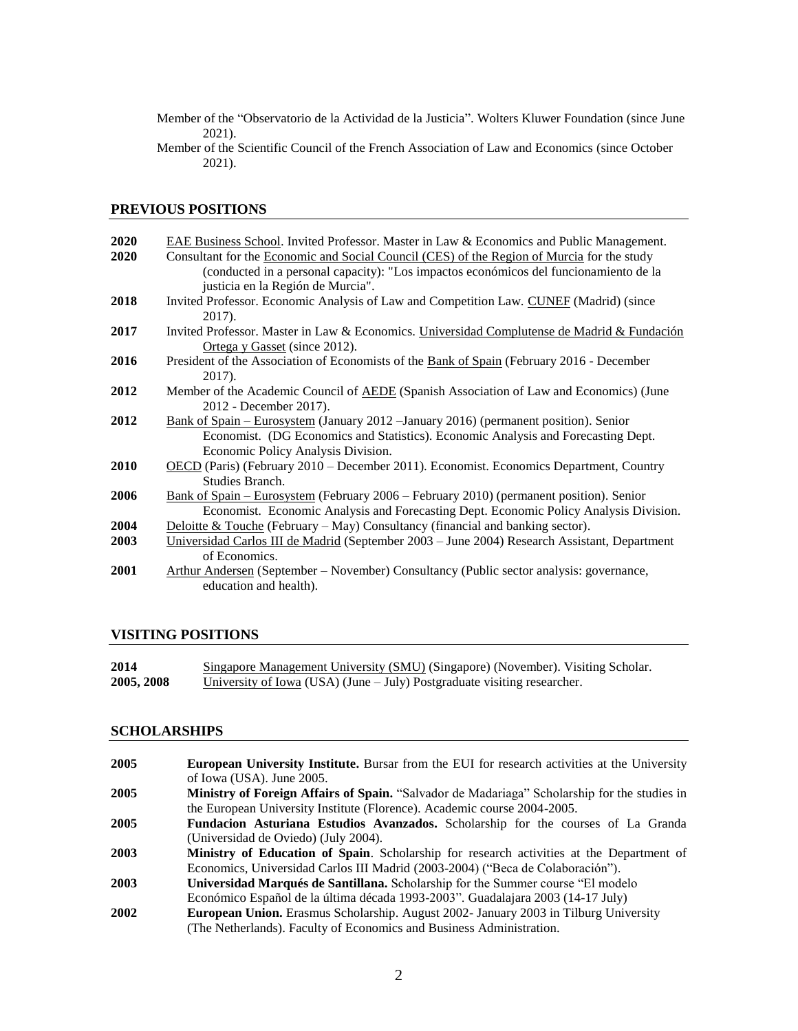Member of the "Observatorio de la Actividad de la Justicia". Wolters Kluwer Foundation (since June 2021).

Member of the Scientific Council of the French Association of Law and Economics (since October 2021).

# **PREVIOUS POSITIONS**

| 2020 | EAE Business School. Invited Professor. Master in Law & Economics and Public Management.       |
|------|------------------------------------------------------------------------------------------------|
| 2020 | Consultant for the Economic and Social Council (CES) of the Region of Murcia for the study     |
|      | (conducted in a personal capacity): "Los impactos económicos del funcionamiento de la          |
|      | justicia en la Región de Murcia".                                                              |
| 2018 | Invited Professor. Economic Analysis of Law and Competition Law. CUNEF (Madrid) (since         |
|      | 2017).                                                                                         |
| 2017 | Invited Professor. Master in Law & Economics. Universidad Complutense de Madrid & Fundación    |
|      | Ortega y Gasset (since 2012).                                                                  |
| 2016 | President of the Association of Economists of the Bank of Spain (February 2016 - December      |
|      | 2017).                                                                                         |
| 2012 | Member of the Academic Council of AEDE (Spanish Association of Law and Economics) (June        |
|      | 2012 - December 2017).                                                                         |
| 2012 | Bank of Spain – Eurosystem (January 2012 – January 2016) (permanent position). Senior          |
|      | Economist. (DG Economics and Statistics). Economic Analysis and Forecasting Dept.              |
|      | Economic Policy Analysis Division.                                                             |
| 2010 | OECD (Paris) (February 2010 – December 2011). Economist. Economics Department, Country         |
|      | Studies Branch.                                                                                |
| 2006 | <u>Bank of Spain – Eurosystem</u> (February 2006 – February 2010) (permanent position). Senior |
|      | Economist. Economic Analysis and Forecasting Dept. Economic Policy Analysis Division.          |
| 2004 | Deloitte & Touche (February – May) Consultancy (financial and banking sector).                 |
| 2003 | Universidad Carlos III de Madrid (September 2003 – June 2004) Research Assistant, Department   |
|      | of Economics.                                                                                  |
| 2001 | Arthur Andersen (September – November) Consultancy (Public sector analysis: governance,        |
|      | education and health).                                                                         |
|      |                                                                                                |

# **VISITING POSITIONS**

| 2014       | Singapore Management University (SMU) (Singapore) (November). Visiting Scholar. |
|------------|---------------------------------------------------------------------------------|
| 2005, 2008 | University of Iowa (USA) (June $-$ July) Postgraduate visiting researcher.      |

# **SCHOLARSHIPS**

| 2005 | <b>European University Institute.</b> Bursar from the EUI for research activities at the University |
|------|-----------------------------------------------------------------------------------------------------|
|      | of Iowa (USA). June 2005.                                                                           |
| 2005 | Ministry of Foreign Affairs of Spain. "Salvador de Madariaga" Scholarship for the studies in        |
|      | the European University Institute (Florence). Academic course 2004-2005.                            |
| 2005 | Fundacion Asturiana Estudios Avanzados. Scholarship for the courses of La Granda                    |
|      | (Universidad de Oviedo) (July 2004).                                                                |
| 2003 | Ministry of Education of Spain. Scholarship for research activities at the Department of            |
|      | Economics, Universidad Carlos III Madrid (2003-2004) ("Beca de Colaboración").                      |
| 2003 | Universidad Marqués de Santillana. Scholarship for the Summer course "El modelo"                    |
|      | Económico Español de la última década 1993-2003". Guadalajara 2003 (14-17 July)                     |
| 2002 | European Union. Erasmus Scholarship. August 2002- January 2003 in Tilburg University                |
|      | (The Netherlands). Faculty of Economics and Business Administration.                                |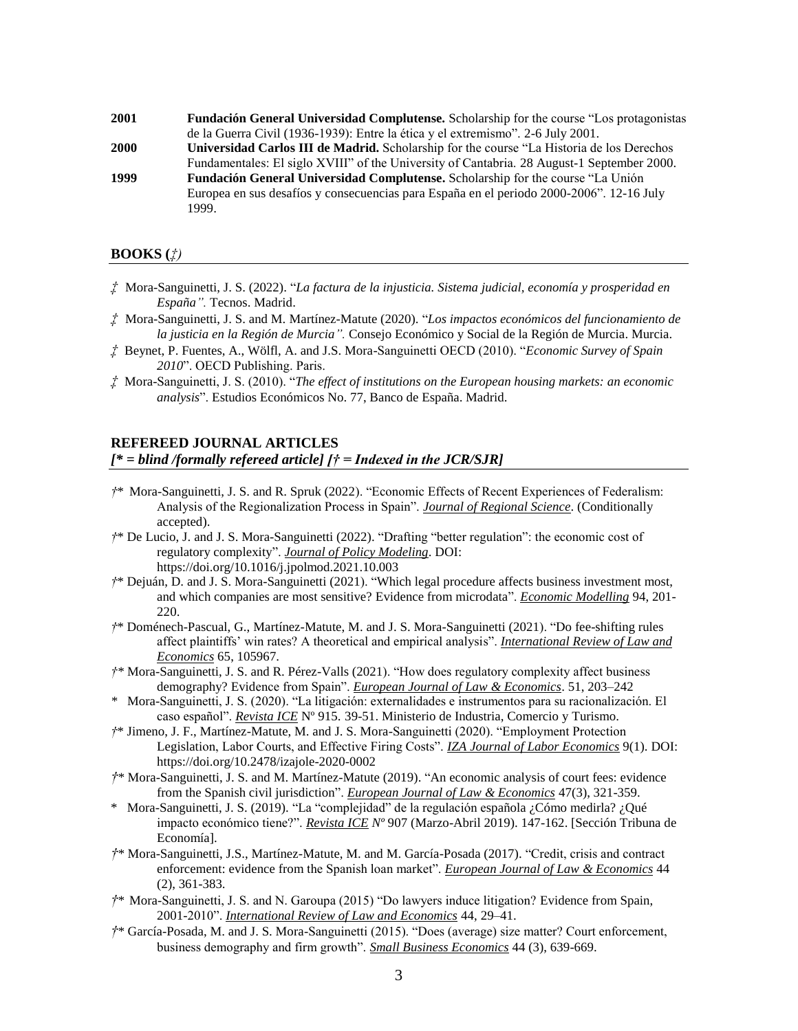**2001 Fundación General Universidad Complutense.** Scholarship for the course "Los protagonistas de la Guerra Civil (1936-1939): Entre la ética y el extremismo". 2-6 July 2001. **2000 Universidad Carlos III de Madrid.** Scholarship for the course "La Historia de los Derechos Fundamentales: El siglo XVIII" of the University of Cantabria. 28 August-1 September 2000. **1999 Fundación General Universidad Complutense.** Scholarship for the course "La Unión Europea en sus desafíos y consecuencias para España en el periodo 2000-2006". 12-16 July 1999.

#### **BOOKS (***‡)*

- *‡* Mora-Sanguinetti, J. S. (2022). "*La factura de la injusticia. Sistema judicial, economía y prosperidad en España".* Tecnos. Madrid.
- *‡* Mora-Sanguinetti, J. S. and M. Martínez-Matute (2020). "*Los impactos económicos del funcionamiento de la justicia en la Región de Murcia".* Consejo Económico y Social de la Región de Murcia. Murcia.
- *‡* Beynet, P. Fuentes, A., Wölfl, A. and J.S. Mora-Sanguinetti OECD (2010). "*Economic Survey of Spain 2010*". OECD Publishing. Paris.
- *‡* Mora-Sanguinetti, J. S. (2010). "*The effect of institutions on the European housing markets: an economic analysis*". Estudios Económicos No. 77, Banco de España. Madrid.

### **REFEREED JOURNAL ARTICLES**

#### *[\* = blind /formally refereed article] [† = Indexed in the JCR/SJR]*

- *†*\* Mora-Sanguinetti, J. S. and R. Spruk (2022). "Economic Effects of Recent Experiences of Federalism: Analysis of the Regionalization Process in Spain". *Journal of Regional Science*. (Conditionally accepted).
- *†*\* De Lucio, J. and J. S. Mora-Sanguinetti (2022). "Drafting "better regulation": the economic cost of regulatory complexity". *Journal of Policy Modeling*. DOI: https://doi.org/10.1016/j.jpolmod.2021.10.003
- *†*\* Dejuán, D. and J. S. Mora-Sanguinetti (2021). "Which legal procedure affects business investment most, and which companies are most sensitive? Evidence from microdata". *Economic Modelling* 94, 201- 220.
- *†*\* Doménech-Pascual, G., Martínez-Matute, M. and J. S. Mora-Sanguinetti (2021). "Do fee-shifting rules affect plaintiffs' win rates? A theoretical and empirical analysis". *International Review of Law and Economics* 65, 105967.
- *†\** Mora-Sanguinetti, J. S. and R. Pérez-Valls (2021). "How does regulatory complexity affect business demography? Evidence from Spain". *European Journal of Law & Economics*. 51, 203–242
- *\** Mora-Sanguinetti, J. S. (2020). "La litigación: externalidades e instrumentos para su racionalización. El caso español". *Revista ICE* Nº 915. 39-51. Ministerio de Industria, Comercio y Turismo.
- *†*\* Jimeno, J. F., Martínez-Matute, M. and J. S. Mora-Sanguinetti (2020). "Employment Protection Legislation, Labor Courts, and Effective Firing Costs". *IZA Journal of Labor Economics* 9(1). DOI: https://doi.org/10.2478/izajole-2020-0002
- *†*\* Mora-Sanguinetti, J. S. and M. Martínez-Matute (2019). "An economic analysis of court fees: evidence from the Spanish civil jurisdiction". *European Journal of Law & Economics* 47(3), 321-359.
- \* Mora-Sanguinetti, J. S. (2019). "La "complejidad" de la regulación española ¿Cómo medirla? ¿Qué impacto económico tiene?". *Revista ICE Nº* 907 (Marzo-Abril 2019). 147-162. [Sección Tribuna de Economía].
- *†*\* Mora-Sanguinetti, J.S., Martínez-Matute, M. and M. García-Posada (2017). "Credit, crisis and contract enforcement: evidence from the Spanish loan market". *European Journal of Law & Economics* 44 (2), 361-383.
- *†*\* Mora-Sanguinetti, J. S. and N. Garoupa (2015) "Do lawyers induce litigation? Evidence from Spain, 2001-2010". *International Review of Law and Economics* 44, 29–41.
- *†*\* García-Posada, M. and J. S. Mora-Sanguinetti (2015). "Does (average) size matter? Court enforcement, business demography and firm growth". *Small Business Economics* 44 (3), 639-669.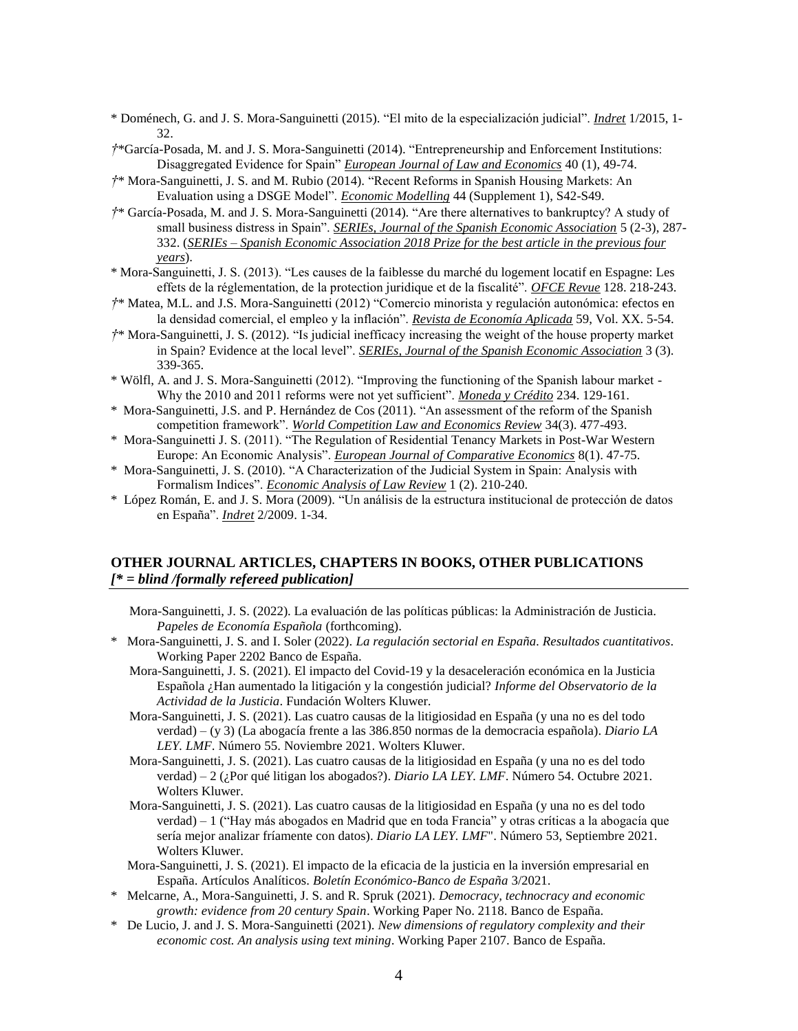- \* Doménech, G. and J. S. Mora-Sanguinetti (2015). "El mito de la especialización judicial". *Indret* 1/2015, 1- 32.
- *†*\*García-Posada, M. and J. S. Mora-Sanguinetti (2014). "Entrepreneurship and Enforcement Institutions: Disaggregated Evidence for Spain" *European Journal of Law and Economics* 40 (1), 49-74.
- *†*\* Mora-Sanguinetti, J. S. and M. Rubio (2014). "Recent Reforms in Spanish Housing Markets: An Evaluation using a DSGE Model". *Economic Modelling* 44 (Supplement 1), S42-S49.
- *†*\* García-Posada, M. and J. S. Mora-Sanguinetti (2014). "Are there alternatives to bankruptcy? A study of small business distress in Spain". *SERIEs, Journal of the Spanish Economic Association* 5 (2-3), 287- 332. (*SERIEs – Spanish Economic Association 2018 Prize for the best article in the previous four years*).
- \* Mora-Sanguinetti, J. S. (2013). "Les causes de la faiblesse du marché du logement locatif en Espagne: Les effets de la réglementation, de la protection juridique et de la fiscalité". *OFCE Revue* 128. 218-243.
- *†*\* Matea, M.L. and J.S. Mora-Sanguinetti (2012) "Comercio minorista y regulación autonómica: efectos en la densidad comercial, el empleo y la inflación". *Revista de Economía Aplicada* 59, Vol. XX. 5-54.
- *†*\* Mora-Sanguinetti, J. S. (2012). "Is judicial inefficacy increasing the weight of the house property market in Spain? Evidence at the local level". *SERIEs, Journal of the Spanish Economic Association* 3 (3). 339-365.
- \* Wölfl, A. and J. S. Mora-Sanguinetti (2012). "Improving the functioning of the Spanish labour market Why the 2010 and 2011 reforms were not yet sufficient". *Moneda y Crédito* 234. 129-161.
- \* Mora-Sanguinetti, J.S. and P. Hernández de Cos (2011). "An assessment of the reform of the Spanish competition framework". *World Competition Law and Economics Review* 34(3). 477-493.
- \* Mora-Sanguinetti J. S. (2011). "The Regulation of Residential Tenancy Markets in Post-War Western Europe: An Economic Analysis". *European Journal of Comparative Economics* 8(1). 47-75.
- \* Mora-Sanguinetti, J. S. (2010). "A Characterization of the Judicial System in Spain: Analysis with Formalism Indices". *Economic Analysis of Law Review* 1 (2). 210-240.
- \* López Román, E. and J. S. Mora (2009). "Un análisis de la estructura institucional de protección de datos en España". *Indret* 2/2009. 1-34.

## **OTHER JOURNAL ARTICLES, CHAPTERS IN BOOKS, OTHER PUBLICATIONS**  *[\* = blind /formally refereed publication]*

- Mora-Sanguinetti, J. S. (2022). La evaluación de las políticas públicas: la Administración de Justicia. *Papeles de Economía Española* (forthcoming).
- \* Mora-Sanguinetti, J. S. and I. Soler (2022). *La regulación sectorial en España. Resultados cuantitativos*. Working Paper 2202 Banco de España.
	- Mora-Sanguinetti, J. S. (2021). El impacto del Covid-19 y la desaceleración económica en la Justicia Española ¿Han aumentado la litigación y la congestión judicial? *Informe del Observatorio de la Actividad de la Justicia*. Fundación Wolters Kluwer.
	- Mora-Sanguinetti, J. S. (2021). Las cuatro causas de la litigiosidad en España (y una no es del todo verdad) – (y 3) (La abogacía frente a las 386.850 normas de la democracia española). *Diario LA LEY. LMF*. Número 55. Noviembre 2021. Wolters Kluwer.
	- Mora-Sanguinetti, J. S. (2021). Las cuatro causas de la litigiosidad en España (y una no es del todo verdad) – 2 (¿Por qué litigan los abogados?). *Diario LA LEY. LMF*. Número 54. Octubre 2021. Wolters Kluwer.
	- Mora-Sanguinetti, J. S. (2021). Las cuatro causas de la litigiosidad en España (y una no es del todo verdad) – 1 ("Hay más abogados en Madrid que en toda Francia" y otras críticas a la abogacía que sería mejor analizar fríamente con datos). *Diario LA LEY. LMF*". Número 53, Septiembre 2021. Wolters Kluwer.
	- Mora-Sanguinetti, J. S. (2021). El impacto de la eficacia de la justicia en la inversión empresarial en España. Artículos Analíticos. *Boletín Económico-Banco de España* 3/2021.
- \* Melcarne, A., Mora-Sanguinetti, J. S. and R. Spruk (2021). *Democracy, technocracy and economic growth: evidence from 20 century Spain*. Working Paper No. 2118. Banco de España.
- \* De Lucio, J. and J. S. Mora-Sanguinetti (2021). *New dimensions of regulatory complexity and their economic cost. An analysis using text mining*. Working Paper 2107. Banco de España.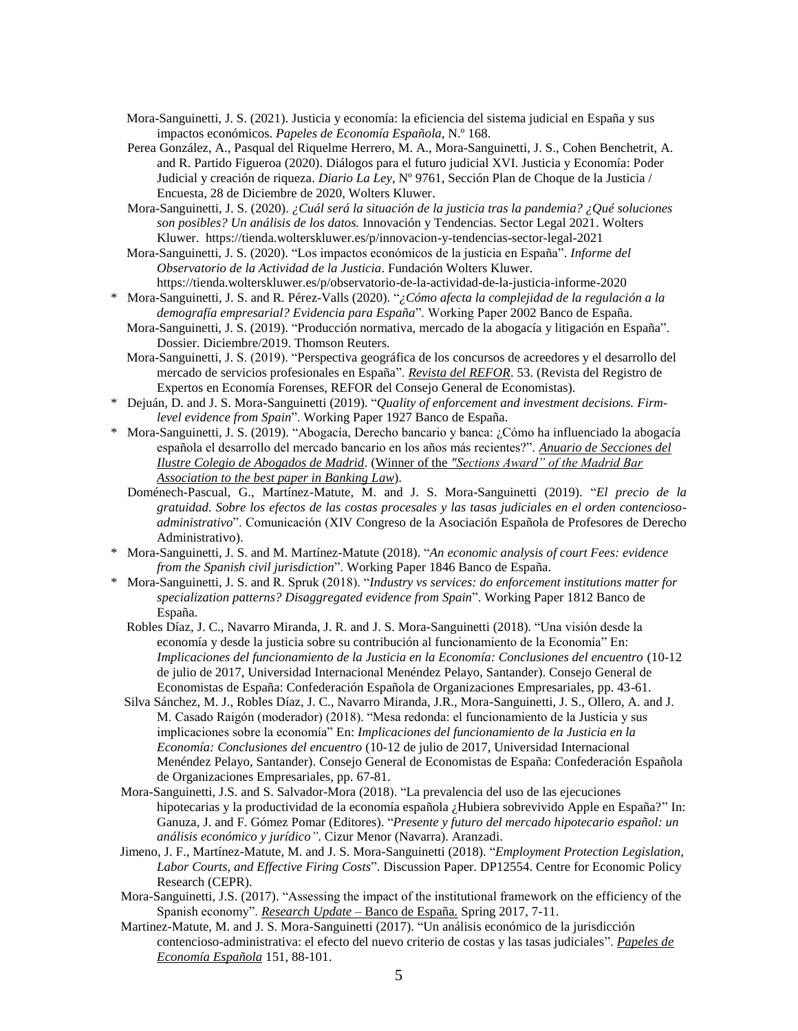- Mora-Sanguinetti, J. S. (2021). Justicia y economía: la eficiencia del sistema judicial en España y sus impactos económicos. *Papeles de Economía Española*, N.º 168.
- Perea González, A., Pasqual del Riquelme Herrero, M. A., Mora-Sanguinetti, J. S., Cohen Benchetrit, A. and R. Partido Figueroa (2020). Diálogos para el futuro judicial XVI. Justicia y Economía: Poder Judicial y creación de riqueza. *Diario La Ley*, Nº 9761, Sección Plan de Choque de la Justicia / Encuesta, 28 de Diciembre de 2020, Wolters Kluwer.
- Mora-Sanguinetti, J. S. (2020). *¿Cuál será la situación de la justicia tras la pandemia? ¿Qué soluciones son posibles? Un análisis de los datos.* Innovación y Tendencias. Sector Legal 2021. Wolters Kluwer. https://tienda.wolterskluwer.es/p/innovacion-y-tendencias-sector-legal-2021
- Mora-Sanguinetti, J. S. (2020). "Los impactos económicos de la justicia en España". *Informe del Observatorio de la Actividad de la Justicia*. Fundación Wolters Kluwer. https://tienda.wolterskluwer.es/p/observatorio-de-la-actividad-de-la-justicia-informe-2020
- \* Mora-Sanguinetti, J. S. and R. Pérez-Valls (2020). "*¿Cómo afecta la complejidad de la regulación a la demografía empresarial? Evidencia para España*". Working Paper 2002 Banco de España.
	- Mora-Sanguinetti, J. S. (2019). "Producción normativa, mercado de la abogacía y litigación en España". Dossier. Diciembre/2019. Thomson Reuters.
	- Mora-Sanguinetti, J. S. (2019). "Perspectiva geográfica de los concursos de acreedores y el desarrollo del mercado de servicios profesionales en España". *Revista del REFOR*. 53. (Revista del Registro de Expertos en Economía Forenses, REFOR del Consejo General de Economistas).
- \* Dejuán, D. and J. S. Mora-Sanguinetti (2019). "*Quality of enforcement and investment decisions. Firmlevel evidence from Spain*". Working Paper 1927 Banco de España.
- \* Mora-Sanguinetti, J. S. (2019). "Abogacía, Derecho bancario y banca: ¿Cómo ha influenciado la abogacía española el desarrollo del mercado bancario en los años más recientes?". *Anuario de Secciones del Ilustre Colegio de Abogados de Madrid*. (Winner of the *"Sections Award" of the Madrid Bar Association to the best paper in Banking Law*).
	- Doménech-Pascual, G., Martínez-Matute, M. and J. S. Mora-Sanguinetti (2019). "*El precio de la gratuidad. Sobre los efectos de las costas procesales y las tasas judiciales en el orden contenciosoadministrativo*". Comunicación (XIV Congreso de la Asociación Española de Profesores de Derecho Administrativo).
- \* Mora-Sanguinetti, J. S. and M. Martínez-Matute (2018). "*An economic analysis of court Fees: evidence from the Spanish civil jurisdiction*". Working Paper 1846 Banco de España.
- \* Mora-Sanguinetti, J. S. and R. Spruk (2018). "*Industry vs services: do enforcement institutions matter for specialization patterns? Disaggregated evidence from Spain*". Working Paper 1812 Banco de España.
	- Robles Díaz, J. C., Navarro Miranda, J. R. and J. S. Mora-Sanguinetti (2018). "Una visión desde la economía y desde la justicia sobre su contribución al funcionamiento de la Economía" En: *Implicaciones del funcionamiento de la Justicia en la Economía: Conclusiones del encuentro* (10-12 de julio de 2017, Universidad Internacional Menéndez Pelayo, Santander). Consejo General de Economistas de España: Confederación Española de Organizaciones Empresariales, pp. 43-61.
	- Silva Sánchez, M. J., Robles Díaz, J. C., Navarro Miranda, J.R., Mora-Sanguinetti, J. S., Ollero, A. and J. M. Casado Raigón (moderador) (2018). "Mesa redonda: el funcionamiento de la Justicia y sus implicaciones sobre la economía" En: *Implicaciones del funcionamiento de la Justicia en la Economía: Conclusiones del encuentro* (10-12 de julio de 2017, Universidad Internacional Menéndez Pelayo, Santander). Consejo General de Economistas de España: Confederación Española de Organizaciones Empresariales, pp. 67-81.
- Mora-Sanguinetti, J.S. and S. Salvador-Mora (2018). "La prevalencia del uso de las ejecuciones hipotecarias y la productividad de la economía española ¿Hubiera sobrevivido Apple en España?" In: Ganuza, J. and F. Gómez Pomar (Editores). "*Presente y futuro del mercado hipotecario español: un análisis económico y jurídico"*. Cizur Menor (Navarra). Aranzadi.
- Jimeno, J. F., Martínez-Matute, M. and J. S. Mora-Sanguinetti (2018). "*Employment Protection Legislation, Labor Courts, and Effective Firing Costs*". Discussion Paper. DP12554. Centre for Economic Policy Research (CEPR).
- Mora-Sanguinetti, J.S. (2017). "Assessing the impact of the institutional framework on the efficiency of the Spanish economy". *Research Update* – Banco de España*.* Spring 2017, 7-11.
- Martinez-Matute, M. and J. S. Mora-Sanguinetti (2017). "Un análisis económico de la jurisdicción contencioso-administrativa: el efecto del nuevo criterio de costas y las tasas judiciales". *Papeles de Economía Española* 151, 88-101.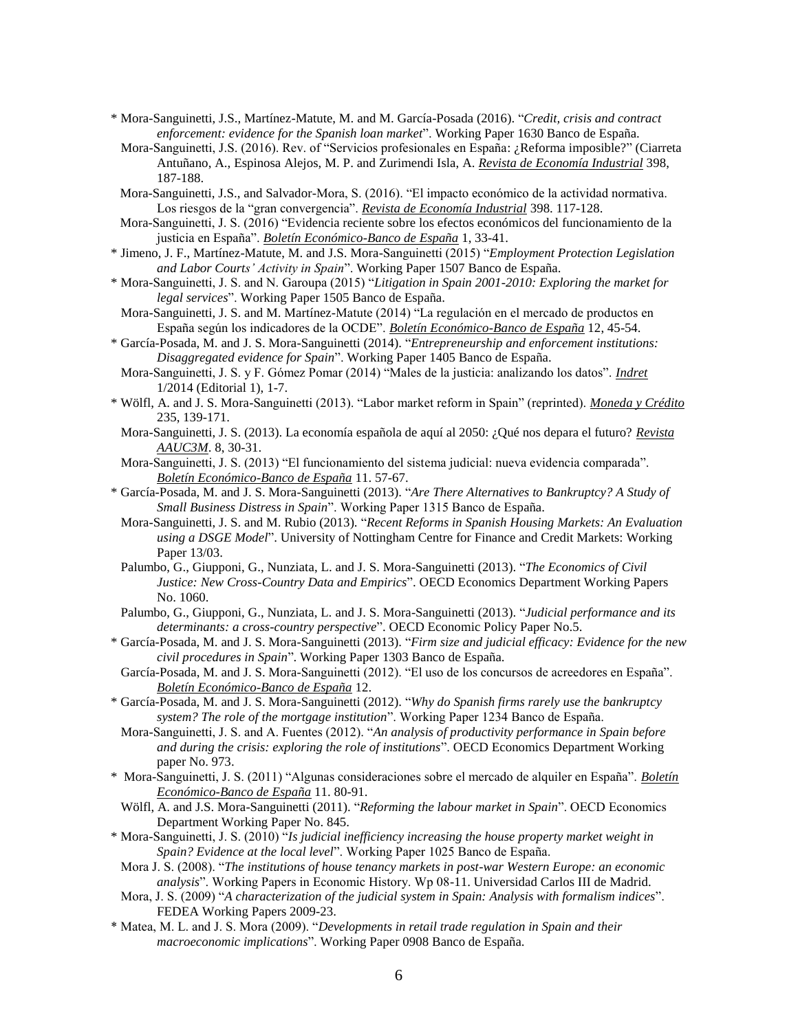- \* Mora-Sanguinetti, J.S., Martínez-Matute, M. and M. García-Posada (2016). "*Credit, crisis and contract enforcement: evidence for the Spanish loan market*". Working Paper 1630 Banco de España.
- Mora-Sanguinetti, J.S. (2016). Rev. of "Servicios profesionales en España: ¿Reforma imposible?" (Ciarreta Antuñano, A., Espinosa Alejos, M. P. and Zurimendi Isla, A. *Revista de Economía Industrial* 398, 187-188.
- Mora-Sanguinetti, J.S., and Salvador-Mora, S. (2016). "El impacto económico de la actividad normativa. Los riesgos de la "gran convergencia". *Revista de Economía Industrial* 398. 117-128.
- Mora-Sanguinetti, J. S. (2016) "Evidencia reciente sobre los efectos económicos del funcionamiento de la justicia en España". *Boletín Económico-Banco de España* 1, 33-41.
- \* Jimeno, J. F., Martínez-Matute, M. and J.S. Mora-Sanguinetti (2015) "*Employment Protection Legislation and Labor Courts' Activity in Spain*". Working Paper 1507 Banco de España.
- \* Mora-Sanguinetti, J. S. and N. Garoupa (2015) "*Litigation in Spain 2001-2010: Exploring the market for legal services*". Working Paper 1505 Banco de España.
- Mora-Sanguinetti, J. S. and M. Martínez-Matute (2014) "La regulación en el mercado de productos en España según los indicadores de la OCDE". *Boletín Económico-Banco de España* 12, 45-54.
- \* García-Posada, M. and J. S. Mora-Sanguinetti (2014). "*Entrepreneurship and enforcement institutions: Disaggregated evidence for Spain*". Working Paper 1405 Banco de España.
- Mora-Sanguinetti, J. S. y F. Gómez Pomar (2014) "Males de la justicia: analizando los datos". *Indret* 1/2014 (Editorial 1), 1-7.
- \* Wölfl, A. and J. S. Mora-Sanguinetti (2013). "Labor market reform in Spain" (reprinted). *Moneda y Crédito* 235, 139-171.
- Mora-Sanguinetti, J. S. (2013). La economía española de aquí al 2050: ¿Qué nos depara el futuro? *Revista AAUC3M*. 8, 30-31.
- Mora-Sanguinetti, J. S. (2013) "El funcionamiento del sistema judicial: nueva evidencia comparada". *Boletín Económico-Banco de España* 11. 57-67.
- \* García-Posada, M. and J. S. Mora-Sanguinetti (2013). "*Are There Alternatives to Bankruptcy? A Study of Small Business Distress in Spain*". Working Paper 1315 Banco de España.
- Mora-Sanguinetti, J. S. and M. Rubio (2013). "*Recent Reforms in Spanish Housing Markets: An Evaluation using a DSGE Model*". University of Nottingham Centre for Finance and Credit Markets: Working Paper 13/03.
- Palumbo, G., Giupponi, G., Nunziata, L. and J. S. Mora-Sanguinetti (2013). "*The Economics of Civil Justice: New Cross-Country Data and Empirics*". OECD Economics Department Working Papers No. 1060.
- Palumbo, G., Giupponi, G., Nunziata, L. and J. S. Mora-Sanguinetti (2013). "*Judicial performance and its determinants: a cross-country perspective*". OECD Economic Policy Paper No.5.
- \* García-Posada, M. and J. S. Mora-Sanguinetti (2013). "*Firm size and judicial efficacy: Evidence for the new civil procedures in Spain*". Working Paper 1303 Banco de España.
- García-Posada, M. and J. S. Mora-Sanguinetti (2012). "El uso de los concursos de acreedores en España". *Boletín Económico-Banco de España* 12.
- \* García-Posada, M. and J. S. Mora-Sanguinetti (2012). "*Why do Spanish firms rarely use the bankruptcy system? The role of the mortgage institution*". Working Paper 1234 Banco de España.
- Mora-Sanguinetti, J. S. and A. Fuentes (2012). "*An analysis of productivity performance in Spain before and during the crisis: exploring the role of institutions*". OECD Economics Department Working paper No. 973.
- \* Mora-Sanguinetti, J. S. (2011) "Algunas consideraciones sobre el mercado de alquiler en España". *Boletín Económico-Banco de España* 11. 80-91.
- Wölfl, A. and J.S. Mora-Sanguinetti (2011). "*Reforming the labour market in Spain*". OECD Economics Department Working Paper No. 845.
- \* Mora-Sanguinetti, J. S. (2010) "*Is judicial inefficiency increasing the house property market weight in Spain? Evidence at the local level*". Working Paper 1025 Banco de España.
- Mora J. S. (2008). "*The institutions of house tenancy markets in post-war Western Europe: an economic analysis*". Working Papers in Economic History. Wp 08-11. Universidad Carlos III de Madrid.
- Mora, J. S. (2009) "*A characterization of the judicial system in Spain: Analysis with formalism indices*". FEDEA Working Papers 2009-23.
- \* Matea, M. L. and J. S. Mora (2009). "*Developments in retail trade regulation in Spain and their macroeconomic implications*". Working Paper 0908 Banco de España.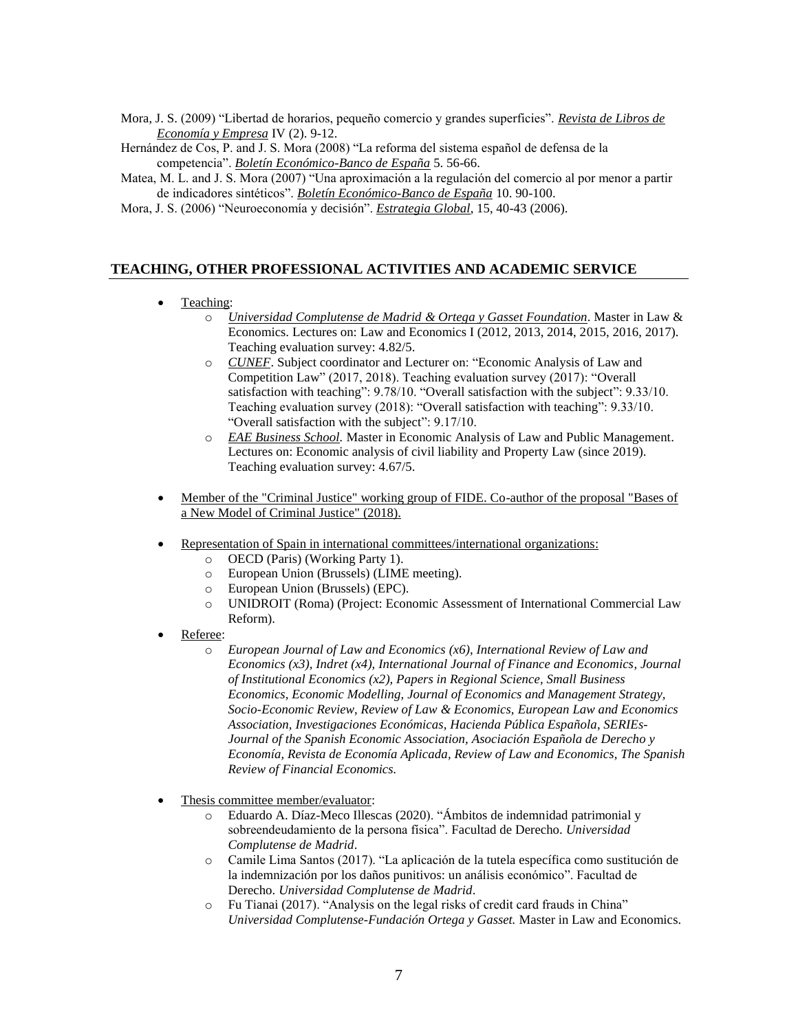- Mora, J. S. (2009) "Libertad de horarios, pequeño comercio y grandes superficies". *Revista de Libros de Economía y Empresa* IV (2). 9-12.
- Hernández de Cos, P. and J. S. Mora (2008) "La reforma del sistema español de defensa de la competencia". *Boletín Económico-Banco de España* 5. 56-66.
- Matea, M. L. and J. S. Mora (2007) "Una aproximación a la regulación del comercio al por menor a partir de indicadores sintéticos". *Boletín Económico-Banco de España* 10. 90-100.
- Mora, J. S. (2006) "Neuroeconomía y decisión". *Estrategia Global*, 15, 40-43 (2006).

# **TEACHING, OTHER PROFESSIONAL ACTIVITIES AND ACADEMIC SERVICE**

#### Teaching:

- o *Universidad Complutense de Madrid & Ortega y Gasset Foundation*. Master in Law & Economics. Lectures on: Law and Economics I (2012, 2013, 2014, 2015, 2016, 2017). Teaching evaluation survey: 4.82/5.
	- o *CUNEF*. Subject coordinator and Lecturer on: "Economic Analysis of Law and Competition Law" (2017, 2018). Teaching evaluation survey (2017): "Overall satisfaction with teaching": 9.78/10. "Overall satisfaction with the subject": 9.33/10. Teaching evaluation survey (2018): "Overall satisfaction with teaching": 9.33/10. "Overall satisfaction with the subject": 9.17/10.
- o *EAE Business School.* Master in Economic Analysis of Law and Public Management. Lectures on: Economic analysis of civil liability and Property Law (since 2019). Teaching evaluation survey: 4.67/5.
- Member of the "Criminal Justice" working group of FIDE. Co-author of the proposal "Bases of a New Model of Criminal Justice" (2018).
- Representation of Spain in international committees/international organizations:
	- o OECD (Paris) (Working Party 1).
	- o European Union (Brussels) (LIME meeting).
	- o European Union (Brussels) (EPC).
	- o UNIDROIT (Roma) (Project: Economic Assessment of International Commercial Law Reform).
- Referee:
	- o *European Journal of Law and Economics (x6), International Review of Law and Economics (x3), Indret (x4), International Journal of Finance and Economics, Journal of Institutional Economics (x2), Papers in Regional Science, Small Business Economics, Economic Modelling, Journal of Economics and Management Strategy, Socio-Economic Review, Review of Law & Economics, European Law and Economics Association, Investigaciones Económicas*, *Hacienda Pública Española*, *SERIEs-Journal of the Spanish Economic Association, Asociación Española de Derecho y Economía, Revista de Economía Aplicada, Review of Law and Economics, The Spanish Review of Financial Economics.*
- Thesis committee member/evaluator:
	- o Eduardo A. Díaz-Meco Illescas (2020). "Ámbitos de indemnidad patrimonial y sobreendeudamiento de la persona física". Facultad de Derecho. *Universidad Complutense de Madrid*.
	- o Camile Lima Santos (2017). "La aplicación de la tutela específica como sustitución de la indemnización por los daños punitivos: un análisis económico". Facultad de Derecho. *Universidad Complutense de Madrid*.
	- o Fu Tianai (2017). "Analysis on the legal risks of credit card frauds in China" *Universidad Complutense-Fundación Ortega y Gasset.* Master in Law and Economics.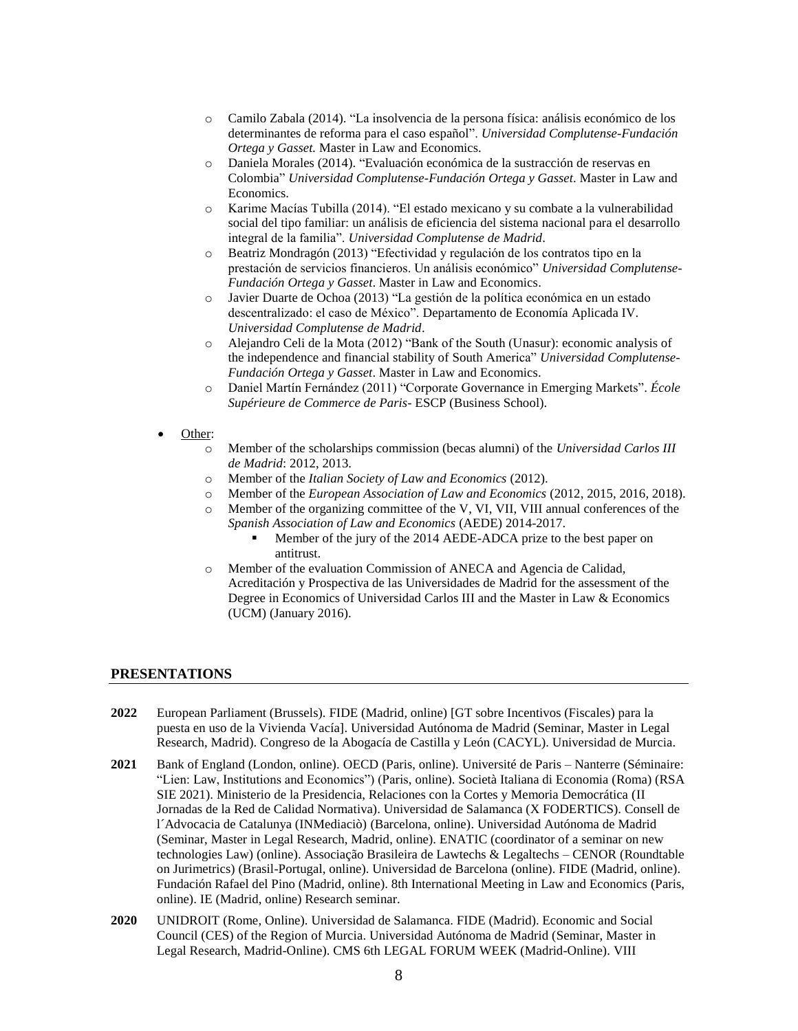- o Camilo Zabala (2014). "La insolvencia de la persona física: análisis económico de los determinantes de reforma para el caso español". *Universidad Complutense-Fundación Ortega y Gasset.* Master in Law and Economics.
- o Daniela Morales (2014). "Evaluación económica de la sustracción de reservas en Colombia" *Universidad Complutense-Fundación Ortega y Gasset*. Master in Law and Economics.
- o Karime Macías Tubilla (2014). "El estado mexicano y su combate a la vulnerabilidad social del tipo familiar: un análisis de eficiencia del sistema nacional para el desarrollo integral de la familia". *Universidad Complutense de Madrid*.
- o Beatriz Mondragón (2013) "Efectividad y regulación de los contratos tipo en la prestación de servicios financieros. Un análisis económico" *Universidad Complutense-Fundación Ortega y Gasset*. Master in Law and Economics.
- o Javier Duarte de Ochoa (2013) "La gestión de la política económica en un estado descentralizado: el caso de México". Departamento de Economía Aplicada IV. *Universidad Complutense de Madrid*.
- o Alejandro Celi de la Mota (2012) "Bank of the South (Unasur): economic analysis of the independence and financial stability of South America" *Universidad Complutense-Fundación Ortega y Gasset*. Master in Law and Economics.
- o Daniel Martín Fernández (2011) "Corporate Governance in Emerging Markets". *École Supérieure de Commerce de Paris*- ESCP (Business School).
- Other:
	- o Member of the scholarships commission (becas alumni) of the *Universidad Carlos III de Madrid*: 2012, 2013.
	- o Member of the *Italian Society of Law and Economics* (2012).
	- o Member of the *European Association of Law and Economics* (2012, 2015, 2016, 2018).
	- o Member of the organizing committee of the V, VI, VII, VIII annual conferences of the *Spanish Association of Law and Economics* (AEDE) 2014-2017.
		- Member of the jury of the 2014 AEDE-ADCA prize to the best paper on antitrust.
	- o Member of the evaluation Commission of ANECA and Agencia de Calidad, Acreditación y Prospectiva de las Universidades de Madrid for the assessment of the Degree in Economics of Universidad Carlos III and the Master in Law & Economics (UCM) (January 2016).

#### **PRESENTATIONS**

- **2022** European Parliament (Brussels). FIDE (Madrid, online) [GT sobre Incentivos (Fiscales) para la puesta en uso de la Vivienda Vacía]. Universidad Autónoma de Madrid (Seminar, Master in Legal Research, Madrid). Congreso de la Abogacía de Castilla y León (CACYL). Universidad de Murcia.
- **2021** Bank of England (London, online). OECD (Paris, online). Université de Paris Nanterre (Séminaire: "Lien: Law, Institutions and Economics") (Paris, online). Società Italiana di Economia (Roma) (RSA SIE 2021). Ministerio de la Presidencia, Relaciones con la Cortes y Memoria Democrática (II Jornadas de la Red de Calidad Normativa). Universidad de Salamanca (X FODERTICS). Consell de l´Advocacia de Catalunya (INMediaciò) (Barcelona, online). Universidad Autónoma de Madrid (Seminar, Master in Legal Research, Madrid, online). ENATIC (coordinator of a seminar on new technologies Law) (online). Associação Brasileira de Lawtechs & Legaltechs – CENOR (Roundtable on Jurimetrics) (Brasil-Portugal, online). Universidad de Barcelona (online). FIDE (Madrid, online). Fundación Rafael del Pino (Madrid, online). 8th International Meeting in Law and Economics (Paris, online). IE (Madrid, online) Research seminar.
- **2020** UNIDROIT (Rome, Online). Universidad de Salamanca. FIDE (Madrid). Economic and Social Council (CES) of the Region of Murcia. Universidad Autónoma de Madrid (Seminar, Master in Legal Research, Madrid-Online). CMS 6th LEGAL FORUM WEEK (Madrid-Online). VIII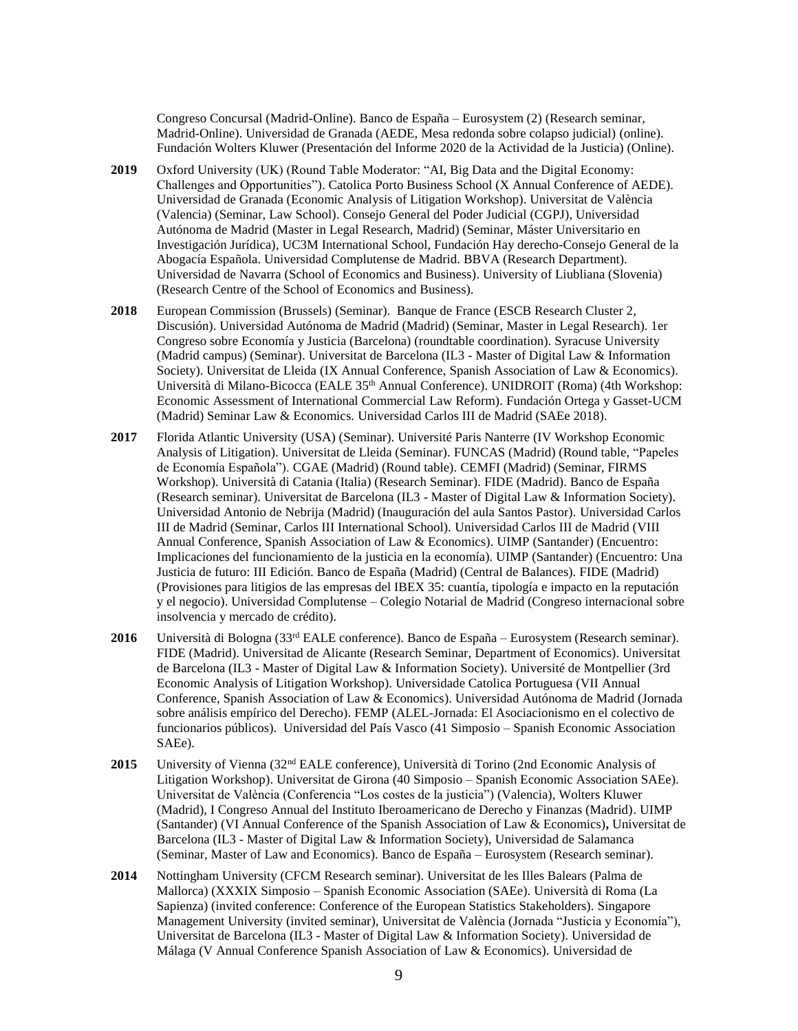Congreso Concursal (Madrid-Online). Banco de España – Eurosystem (2) (Research seminar, Madrid-Online). Universidad de Granada (AEDE, Mesa redonda sobre colapso judicial) (online). Fundación Wolters Kluwer (Presentación del Informe 2020 de la Actividad de la Justicia) (Online).

- **2019** Oxford University (UK) (Round Table Moderator: "AI, Big Data and the Digital Economy: Challenges and Opportunities"). Catolica Porto Business School (X Annual Conference of AEDE). Universidad de Granada (Economic Analysis of Litigation Workshop). Universitat de València (Valencia) (Seminar, Law School). Consejo General del Poder Judicial (CGPJ), Universidad Autónoma de Madrid (Master in Legal Research, Madrid) (Seminar, Máster Universitario en Investigación Jurídica), UC3M International School, Fundación Hay derecho-Consejo General de la Abogacía Española. Universidad Complutense de Madrid. BBVA (Research Department). Universidad de Navarra (School of Economics and Business). University of Liubliana (Slovenia) (Research Centre of the School of Economics and Business).
- **2018** European Commission (Brussels) (Seminar). Banque de France (ESCB Research Cluster 2, Discusión). Universidad Autónoma de Madrid (Madrid) (Seminar, Master in Legal Research). 1er Congreso sobre Economía y Justicia (Barcelona) (roundtable coordination). Syracuse University (Madrid campus) (Seminar). Universitat de Barcelona (IL3 - Master of Digital Law & Information Society). Universitat de Lleida (IX Annual Conference, Spanish Association of Law & Economics). Università di Milano-Bicocca (EALE 35<sup>th</sup> Annual Conference). UNIDROIT (Roma) (4th Workshop: Economic Assessment of International Commercial Law Reform). Fundación Ortega y Gasset-UCM (Madrid) Seminar Law & Economics. Universidad Carlos III de Madrid (SAEe 2018).
- **2017** Florida Atlantic University (USA) (Seminar). Université Paris Nanterre (IV Workshop Economic Analysis of Litigation). Universitat de Lleida (Seminar). FUNCAS (Madrid) (Round table, "Papeles de Economía Española"). CGAE (Madrid) (Round table). CEMFI (Madrid) (Seminar, FIRMS Workshop). Università di Catania (Italia) (Research Seminar). FIDE (Madrid). Banco de España (Research seminar). Universitat de Barcelona (IL3 - Master of Digital Law & Information Society). Universidad Antonio de Nebrija (Madrid) (Inauguración del aula Santos Pastor). Universidad Carlos III de Madrid (Seminar, Carlos III International School). Universidad Carlos III de Madrid (VIII Annual Conference, Spanish Association of Law & Economics). UIMP (Santander) (Encuentro: Implicaciones del funcionamiento de la justicia en la economía). UIMP (Santander) (Encuentro: Una Justicia de futuro: III Edición. Banco de España (Madrid) (Central de Balances). FIDE (Madrid) (Provisiones para litigios de las empresas del IBEX 35: cuantía, tipología e impacto en la reputación y el negocio). Universidad Complutense – Colegio Notarial de Madrid (Congreso internacional sobre insolvencia y mercado de crédito).
- **2016** Università di Bologna (33rd EALE conference). Banco de España Eurosystem (Research seminar). FIDE (Madrid). Universitad de Alicante (Research Seminar, Department of Economics). Universitat de Barcelona (IL3 - Master of Digital Law & Information Society). Université de Montpellier (3rd Economic Analysis of Litigation Workshop). Universidade Catolica Portuguesa (VII Annual Conference, Spanish Association of Law & Economics). Universidad Autónoma de Madrid (Jornada sobre análisis empírico del Derecho). FEMP (ALEL-Jornada: El Asociacionismo en el colectivo de funcionarios públicos). Universidad del País Vasco (41 Simposio – Spanish Economic Association SAEe).
- 2015 University of Vienna (32<sup>nd</sup> EALE conference), Università di Torino (2nd Economic Analysis of Litigation Workshop). Universitat de Girona (40 Simposio – Spanish Economic Association SAEe). Universitat de València (Conferencia "Los costes de la justicia") (Valencia), Wolters Kluwer (Madrid), I Congreso Annual del Instituto Iberoamericano de Derecho y Finanzas (Madrid). UIMP (Santander) (VI Annual Conference of the Spanish Association of Law & Economics)**,** Universitat de Barcelona (IL3 - Master of Digital Law & Information Society), Universidad de Salamanca (Seminar, Master of Law and Economics). Banco de España – Eurosystem (Research seminar).
- **2014** Nottingham University (CFCM Research seminar). Universitat de les Illes Balears (Palma de Mallorca) (XXXIX Simposio – Spanish Economic Association (SAEe). Università di Roma (La Sapienza) (invited conference: Conference of the European Statistics Stakeholders). Singapore Management University (invited seminar), Universitat de València (Jornada "Justicia y Economía"), Universitat de Barcelona (IL3 - Master of Digital Law & Information Society). Universidad de Málaga (V Annual Conference Spanish Association of Law & Economics). Universidad de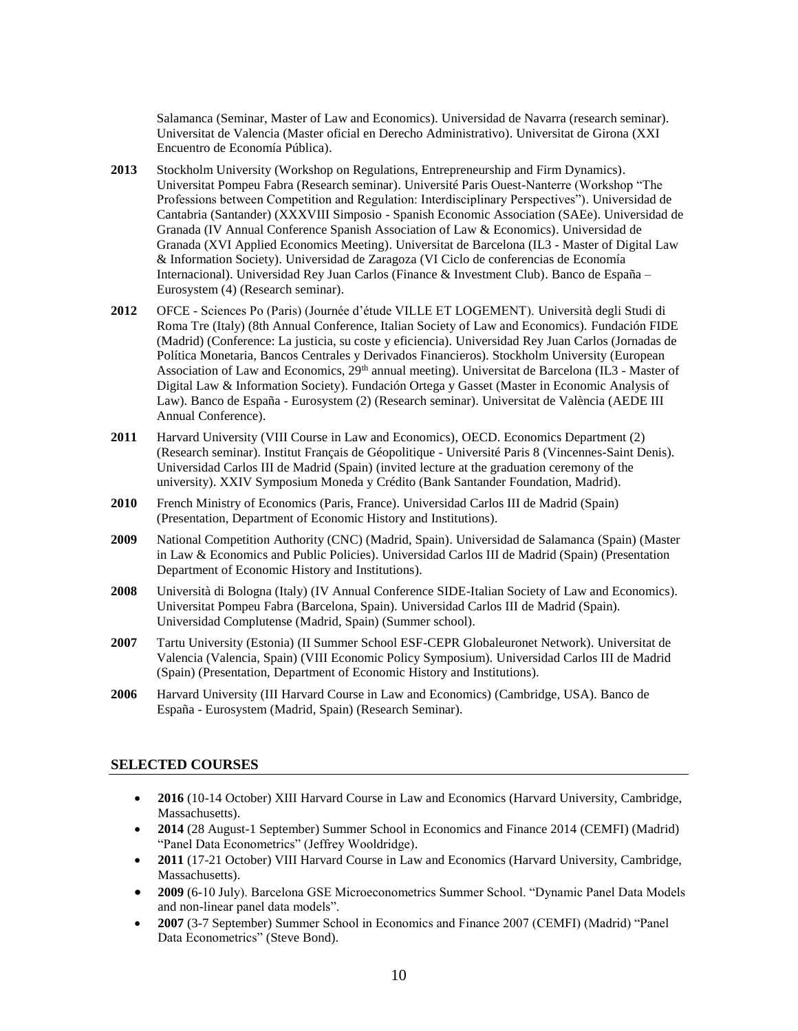Salamanca (Seminar, Master of Law and Economics). Universidad de Navarra (research seminar). Universitat de Valencia (Master oficial en Derecho Administrativo). Universitat de Girona (XXI Encuentro de Economía Pública).

- **2013** Stockholm University (Workshop on Regulations, Entrepreneurship and Firm Dynamics). Universitat Pompeu Fabra (Research seminar). Université Paris Ouest-Nanterre (Workshop "The Professions between Competition and Regulation: Interdisciplinary Perspectives"). Universidad de Cantabria (Santander) (XXXVIII Simposio - Spanish Economic Association (SAEe). Universidad de Granada (IV Annual Conference Spanish Association of Law & Economics). Universidad de Granada (XVI Applied Economics Meeting). Universitat de Barcelona (IL3 - Master of Digital Law & Information Society). Universidad de Zaragoza (VI Ciclo de conferencias de Economía Internacional). Universidad Rey Juan Carlos (Finance & Investment Club). Banco de España – Eurosystem (4) (Research seminar).
- **2012** OFCE Sciences Po (Paris) (Journée d'étude VILLE ET LOGEMENT). Università degli Studi di Roma Tre (Italy) (8th Annual Conference, Italian Society of Law and Economics). Fundación FIDE (Madrid) (Conference: La justicia, su coste y eficiencia). Universidad Rey Juan Carlos (Jornadas de Política Monetaria, Bancos Centrales y Derivados Financieros). Stockholm University (European Association of Law and Economics, 29<sup>th</sup> annual meeting). Universitat de Barcelona (IL3 - Master of Digital Law & Information Society). Fundación Ortega y Gasset (Master in Economic Analysis of Law). Banco de España - Eurosystem (2) (Research seminar). Universitat de València (AEDE III Annual Conference).
- **2011** Harvard University (VIII Course in Law and Economics), OECD. Economics Department (2) (Research seminar). Institut Français de Géopolitique - Université Paris 8 (Vincennes-Saint Denis). Universidad Carlos III de Madrid (Spain) (invited lecture at the graduation ceremony of the university). XXIV Symposium Moneda y Crédito (Bank Santander Foundation, Madrid).
- **2010** French Ministry of Economics (Paris, France). Universidad Carlos III de Madrid (Spain) (Presentation, Department of Economic History and Institutions).
- **2009** National Competition Authority (CNC) (Madrid, Spain). Universidad de Salamanca (Spain) (Master in Law & Economics and Public Policies). Universidad Carlos III de Madrid (Spain) (Presentation Department of Economic History and Institutions).
- **2008** Università di Bologna (Italy) (IV Annual Conference SIDE-Italian Society of Law and Economics). Universitat Pompeu Fabra (Barcelona, Spain). Universidad Carlos III de Madrid (Spain). Universidad Complutense (Madrid, Spain) (Summer school).
- **2007** Tartu University (Estonia) (II Summer School ESF-CEPR Globaleuronet Network). Universitat de Valencia (Valencia, Spain) (VIII Economic Policy Symposium). Universidad Carlos III de Madrid (Spain) (Presentation, Department of Economic History and Institutions).
- **2006** Harvard University (III Harvard Course in Law and Economics) (Cambridge, USA). Banco de España - Eurosystem (Madrid, Spain) (Research Seminar).

#### **SELECTED COURSES**

- **2016** (10-14 October) XIII Harvard Course in Law and Economics (Harvard University, Cambridge, Massachusetts).
- **2014** (28 August-1 September) Summer School in Economics and Finance 2014 (CEMFI) (Madrid) "Panel Data Econometrics" (Jeffrey Wooldridge).
- **2011** (17-21 October) VIII Harvard Course in Law and Economics (Harvard University, Cambridge, Massachusetts).
- **2009** (6-10 July). Barcelona GSE Microeconometrics Summer School. "Dynamic Panel Data Models and non-linear panel data models".
- **2007** (3-7 September) Summer School in Economics and Finance 2007 (CEMFI) (Madrid) "Panel Data Econometrics" (Steve Bond).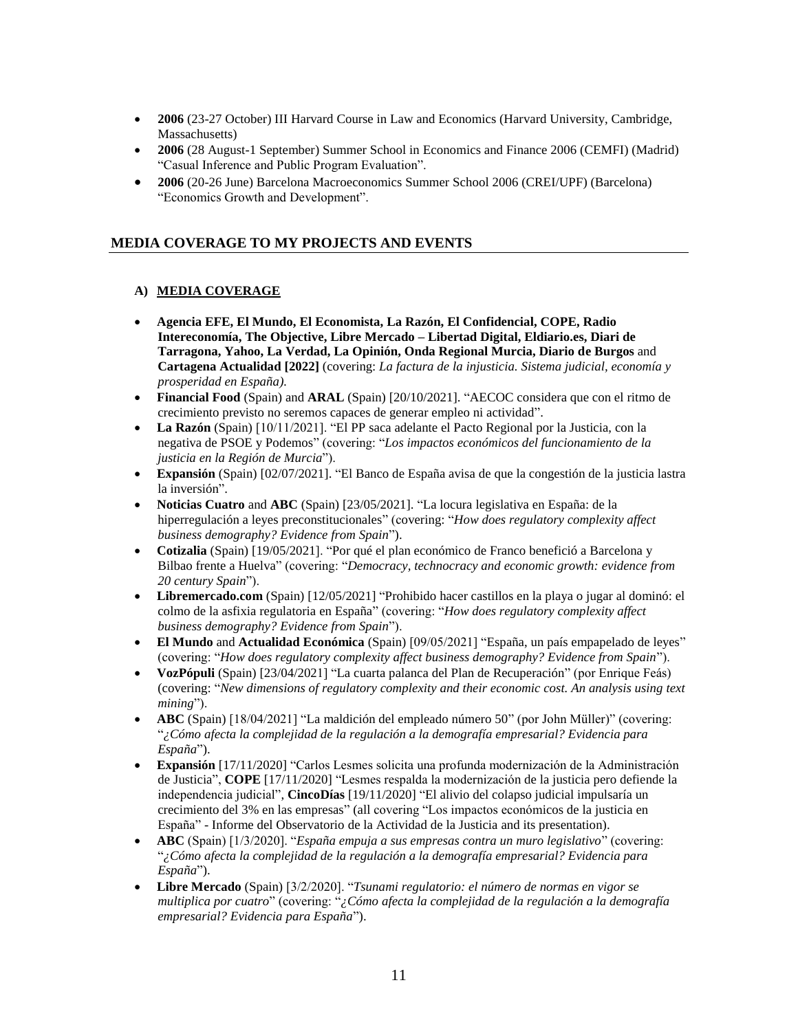- **2006** (23-27 October) III Harvard Course in Law and Economics (Harvard University, Cambridge, Massachusetts)
- **2006** (28 August-1 September) Summer School in Economics and Finance 2006 (CEMFI) (Madrid) "Casual Inference and Public Program Evaluation".
- **2006** (20-26 June) Barcelona Macroeconomics Summer School 2006 (CREI/UPF) (Barcelona) "Economics Growth and Development".

# **MEDIA COVERAGE TO MY PROJECTS AND EVENTS**

# **A) MEDIA COVERAGE**

- **Agencia EFE, El Mundo, El Economista, La Razón, El Confidencial, COPE, Radio Intereconomía, The Objective, Libre Mercado – Libertad Digital, Eldiario.es, Diari de Tarragona, Yahoo, La Verdad, La Opinión, Onda Regional Murcia, Diario de Burgos** and **Cartagena Actualidad [2022]** (covering: *La factura de la injusticia. Sistema judicial, economía y prosperidad en España).*
- **Financial Food** (Spain) and **ARAL** (Spain) [20/10/2021]. "AECOC considera que con el ritmo de crecimiento previsto no seremos capaces de generar empleo ni actividad".
- **La Razón** (Spain) [10/11/2021]. "El PP saca adelante el Pacto Regional por la Justicia, con la negativa de PSOE y Podemos" (covering: "*Los impactos económicos del funcionamiento de la justicia en la Región de Murcia*").
- **Expansión** (Spain) [02/07/2021]. "El Banco de España avisa de que la congestión de la justicia lastra la inversión".
- **Noticias Cuatro** and **ABC** (Spain) [23/05/2021]. "La locura legislativa en España: de la hiperregulación a leyes preconstitucionales" (covering: "*How does regulatory complexity affect business demography? Evidence from Spain*").
- **Cotizalia** (Spain) [19/05/2021]. "Por qué el plan económico de Franco benefició a Barcelona y Bilbao frente a Huelva" (covering: "*Democracy, technocracy and economic growth: evidence from 20 century Spain*").
- **Libremercado.com** (Spain) [12/05/2021] "Prohibido hacer castillos en la playa o jugar al dominó: el colmo de la asfixia regulatoria en España" (covering: "*How does regulatory complexity affect business demography? Evidence from Spain*").
- **El Mundo** and **Actualidad Económica** (Spain) [09/05/2021] "España, un país empapelado de leyes" (covering: "*How does regulatory complexity affect business demography? Evidence from Spain*").
- **VozPópuli** (Spain) [23/04/2021] "La cuarta palanca del Plan de Recuperación" (por Enrique Feás) (covering: "*New dimensions of regulatory complexity and their economic cost. An analysis using text mining*").
- **ABC** (Spain) [18/04/2021] "La maldición del empleado número 50" (por John Müller)" (covering: "*¿Cómo afecta la complejidad de la regulación a la demografía empresarial? Evidencia para España*").
- **Expansión** [17/11/2020] "Carlos Lesmes solicita una profunda modernización de la Administración de Justicia", **COPE** [17/11/2020] "Lesmes respalda la modernización de la justicia pero defiende la independencia judicial", **CincoDías** [19/11/2020] "El alivio del colapso judicial impulsaría un crecimiento del 3% en las empresas" (all covering "Los impactos económicos de la justicia en España" - Informe del Observatorio de la Actividad de la Justicia and its presentation).
- **ABC** (Spain) [1/3/2020]. "*España empuja a sus empresas contra un muro legislativo*" (covering: "*¿Cómo afecta la complejidad de la regulación a la demografía empresarial? Evidencia para España*").
- **Libre Mercado** (Spain) [3/2/2020]. "*Tsunami regulatorio: el número de normas en vigor se multiplica por cuatro*" (covering: "*¿Cómo afecta la complejidad de la regulación a la demografía empresarial? Evidencia para España*").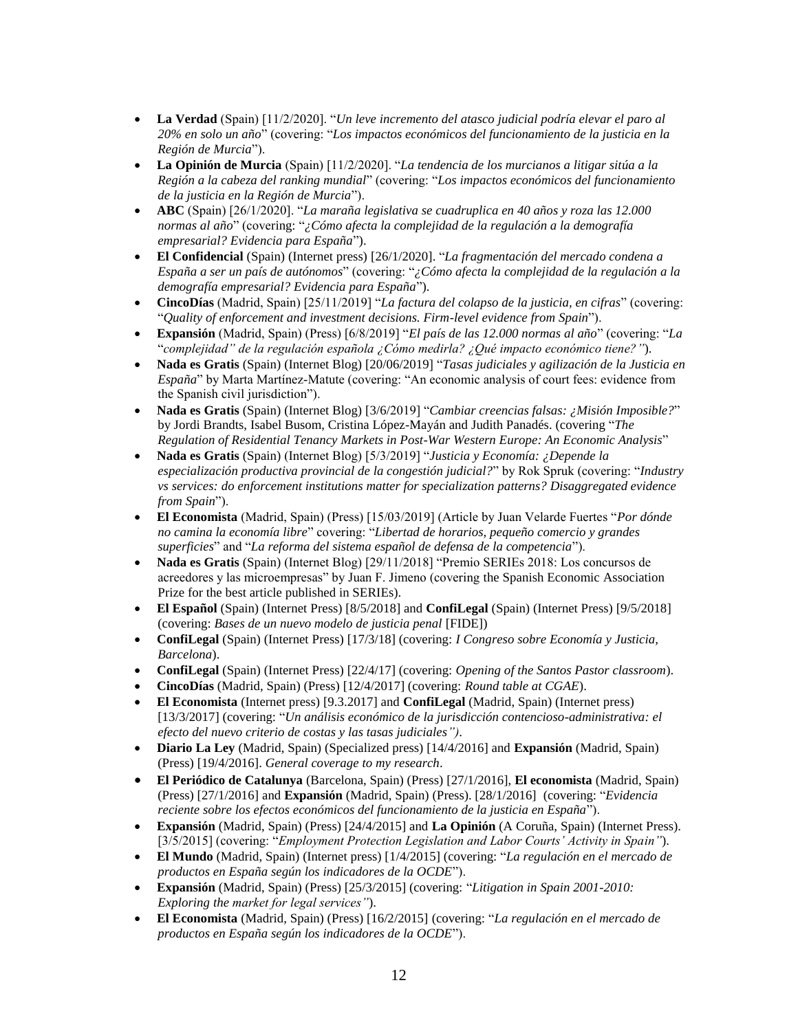- **La Verdad** (Spain) [11/2/2020]. "*Un leve incremento del atasco judicial podría elevar el paro al 20% en solo un año*" (covering: "*Los impactos económicos del funcionamiento de la justicia en la Región de Murcia*").
- **La Opinión de Murcia** (Spain) [11/2/2020]. "*La tendencia de los murcianos a litigar sitúa a la Región a la cabeza del ranking mundial*" (covering: "*Los impactos económicos del funcionamiento de la justicia en la Región de Murcia*").
- **ABC** (Spain) [26/1/2020]. "*La maraña legislativa se cuadruplica en 40 años y roza las 12.000 normas al año*" (covering: "*¿Cómo afecta la complejidad de la regulación a la demografía empresarial? Evidencia para España*").
- **El Confidencial** (Spain) (Internet press) [26/1/2020]. "*La fragmentación del mercado condena a España a ser un país de autónomos*" (covering: "*¿Cómo afecta la complejidad de la regulación a la demografía empresarial? Evidencia para España*").
- **CincoDías** (Madrid, Spain) [25/11/2019] "*La factura del colapso de la justicia, en cifras*" (covering: "*Quality of enforcement and investment decisions. Firm-level evidence from Spain*").
- **Expansión** (Madrid, Spain) (Press) [6/8/2019] "*El país de las 12.000 normas al año*" (covering: "*La* "*complejidad" de la regulación española ¿Cómo medirla? ¿Qué impacto económico tiene?"*).
- **Nada es Gratis** (Spain) (Internet Blog) [20/06/2019] "*Tasas judiciales y agilización de la Justicia en España*" by Marta Martínez-Matute (covering: "An economic analysis of court fees: evidence from the Spanish civil jurisdiction").
- **Nada es Gratis** (Spain) (Internet Blog) [3/6/2019] "*Cambiar creencias falsas: ¿Misión Imposible?*" by Jordi Brandts, Isabel Busom, Cristina López-Mayán and Judith Panadés. (covering "*The Regulation of Residential Tenancy Markets in Post-War Western Europe: An Economic Analysis*"
- **Nada es Gratis** (Spain) (Internet Blog) [5/3/2019] "*Justicia y Economía: ¿Depende la especialización productiva provincial de la congestión judicial?*" by Rok Spruk (covering: "*Industry vs services: do enforcement institutions matter for specialization patterns? Disaggregated evidence from Spain*").
- **El Economista** (Madrid, Spain) (Press) [15/03/2019] (Article by Juan Velarde Fuertes "*Por dónde no camina la economía libre*" covering: "*Libertad de horarios, pequeño comercio y grandes superficies*" and "*La reforma del sistema español de defensa de la competencia*").
- **Nada es Gratis** (Spain) (Internet Blog) [29/11/2018] "Premio SERIEs 2018: Los concursos de acreedores y las microempresas" by Juan F. Jimeno (covering the Spanish Economic Association Prize for the best article published in SERIEs).
- **El Español** (Spain) (Internet Press) [8/5/2018] and **ConfiLegal** (Spain) (Internet Press) [9/5/2018] (covering: *Bases de un nuevo modelo de justicia penal* [FIDE])
- **ConfiLegal** (Spain) (Internet Press) [17/3/18] (covering: *I Congreso sobre Economía y Justicia, Barcelona*).
- **ConfiLegal** (Spain) (Internet Press) [22/4/17] (covering: *Opening of the Santos Pastor classroom*).
- **CincoDías** (Madrid, Spain) (Press) [12/4/2017] (covering: *Round table at CGAE*).
- **El Economista** (Internet press) [9.3.2017] and **ConfiLegal** (Madrid, Spain) (Internet press) [13/3/2017] (covering: "*Un análisis económico de la jurisdicción contencioso-administrativa: el efecto del nuevo criterio de costas y las tasas judiciales")*.
- **Diario La Ley** (Madrid, Spain) (Specialized press) [14/4/2016] and **Expansión** (Madrid, Spain) (Press) [19/4/2016]. *General coverage to my research*.
- **El Periódico de Catalunya** (Barcelona, Spain) (Press) [27/1/2016], **El economista** (Madrid, Spain) (Press) [27/1/2016] and **Expansión** (Madrid, Spain) (Press). [28/1/2016] (covering: "*Evidencia reciente sobre los efectos económicos del funcionamiento de la justicia en España*").
- **Expansión** (Madrid, Spain) (Press) [24/4/2015] and **La Opinión** (A Coruña, Spain) (Internet Press). [3/5/2015] (covering: "*Employment Protection Legislation and Labor Courts' Activity in Spain"*).
- **El Mundo** (Madrid, Spain) (Internet press) [1/4/2015] (covering: "*La regulación en el mercado de productos en España según los indicadores de la OCDE*").
- **Expansión** (Madrid, Spain) (Press) [25/3/2015] (covering: "*Litigation in Spain 2001-2010: Exploring the market for legal services"*).
- **El Economista** (Madrid, Spain) (Press) [16/2/2015] (covering: "*La regulación en el mercado de productos en España según los indicadores de la OCDE*").